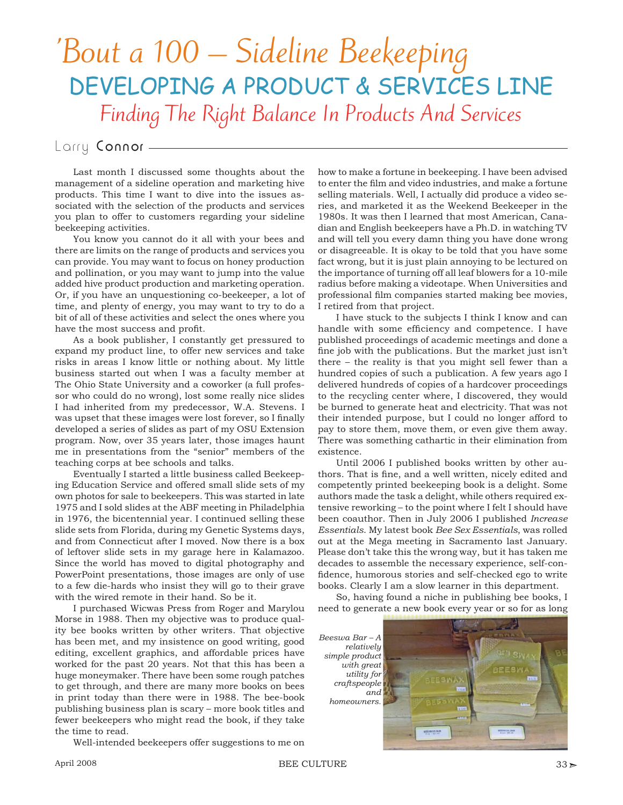# 'Bout a 100 – Sideline Beekeeping DEVELOPING A PRODUCT & SERVICES LINE Finding The Right Balance In Products And Services

## Larry Connor -

Last month I discussed some thoughts about the management of a sideline operation and marketing hive products. This time I want to dive into the issues associated with the selection of the products and services you plan to offer to customers regarding your sideline beekeeping activities.

You know you cannot do it all with your bees and there are limits on the range of products and services you can provide. You may want to focus on honey production and pollination, or you may want to jump into the value added hive product production and marketing operation. Or, if you have an unquestioning co-beekeeper, a lot of time, and plenty of energy, you may want to try to do a bit of all of these activities and select the ones where you have the most success and profit.

As a book publisher, I constantly get pressured to expand my product line, to offer new services and take risks in areas I know little or nothing about. My little business started out when I was a faculty member at The Ohio State University and a coworker (a full professor who could do no wrong), lost some really nice slides I had inherited from my predecessor, W.A. Stevens. I was upset that these images were lost forever, so I finally developed a series of slides as part of my OSU Extension program. Now, over 35 years later, those images haunt me in presentations from the "senior" members of the teaching corps at bee schools and talks.

Eventually I started a little business called Beekeeping Education Service and offered small slide sets of my own photos for sale to beekeepers. This was started in late 1975 and I sold slides at the ABF meeting in Philadelphia in 1976, the bicentennial year. I continued selling these slide sets from Florida, during my Genetic Systems days, and from Connecticut after I moved. Now there is a box of leftover slide sets in my garage here in Kalamazoo. Since the world has moved to digital photography and PowerPoint presentations, those images are only of use to a few die-hards who insist they will go to their grave with the wired remote in their hand. So be it.

I purchased Wicwas Press from Roger and Marylou Morse in 1988. Then my objective was to produce quality bee books written by other writers. That objective has been met, and my insistence on good writing, good editing, excellent graphics, and affordable prices have worked for the past 20 years. Not that this has been a huge moneymaker. There have been some rough patches to get through, and there are many more books on bees in print today than there were in 1988. The bee-book publishing business plan is scary – more book titles and fewer beekeepers who might read the book, if they take the time to read.

Well-intended beekeepers offer suggestions to me on

how to make a fortune in beekeeping. I have been advised to enter the film and video industries, and make a fortune selling materials. Well, I actually did produce a video series, and marketed it as the Weekend Beekeeper in the 1980s. It was then I learned that most American, Canadian and English beekeepers have a Ph.D. in watching TV and will tell you every damn thing you have done wrong or disagreeable. It is okay to be told that you have some fact wrong, but it is just plain annoying to be lectured on the importance of turning off all leaf blowers for a 10-mile radius before making a videotape. When Universities and professional film companies started making bee movies, I retired from that project.

I have stuck to the subjects I think I know and can handle with some efficiency and competence. I have published proceedings of academic meetings and done a fine job with the publications. But the market just isn't there – the reality is that you might sell fewer than a hundred copies of such a publication. A few years ago I delivered hundreds of copies of a hardcover proceedings to the recycling center where, I discovered, they would be burned to generate heat and electricity. That was not their intended purpose, but I could no longer afford to pay to store them, move them, or even give them away. There was something cathartic in their elimination from existence.

Until 2006 I published books written by other authors. That is fine, and a well written, nicely edited and competently printed beekeeping book is a delight. Some authors made the task a delight, while others required extensive reworking – to the point where I felt I should have been coauthor. Then in July 2006 I published *Increase Essentials*. My latest book *Bee Sex Essentials*, was rolled out at the Mega meeting in Sacramento last January. Please don't take this the wrong way, but it has taken me decades to assemble the necessary experience, self-confidence, humorous stories and self-checked ego to write books. Clearly I am a slow learner in this department.

So, having found a niche in publishing bee books, I need to generate a new book every year or so for as long

*Beeswa Bar – A relatively simple product with great utility for craftspeople and homeowners.*

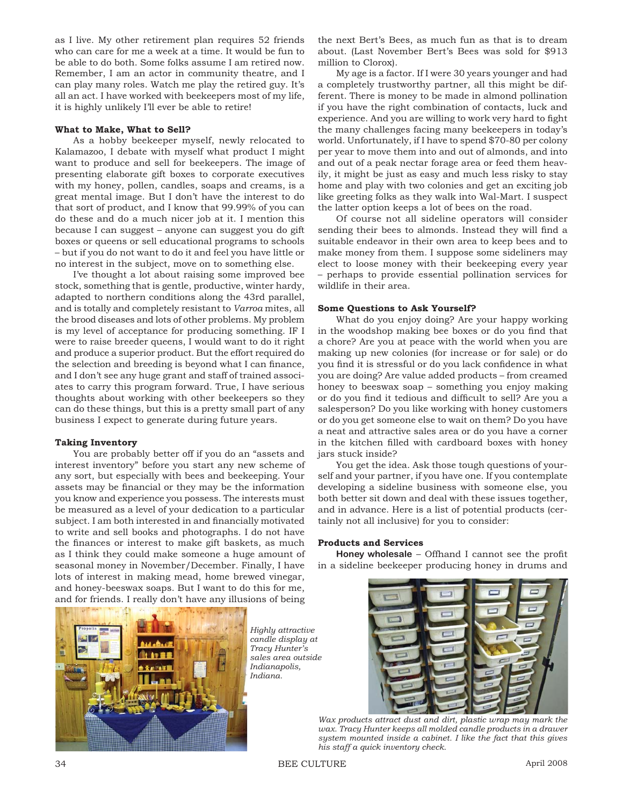as I live. My other retirement plan requires 52 friends who can care for me a week at a time. It would be fun to be able to do both. Some folks assume I am retired now. Remember, I am an actor in community theatre, and I can play many roles. Watch me play the retired guy. It's all an act. I have worked with beekeepers most of my life, it is highly unlikely I'll ever be able to retire!

#### **What to Make, What to Sell?**

As a hobby beekeeper myself, newly relocated to Kalamazoo, I debate with myself what product I might want to produce and sell for beekeepers. The image of presenting elaborate gift boxes to corporate executives with my honey, pollen, candles, soaps and creams, is a great mental image. But I don't have the interest to do that sort of product, and I know that 99.99% of you can do these and do a much nicer job at it. I mention this because I can suggest – anyone can suggest you do gift boxes or queens or sell educational programs to schools – but if you do not want to do it and feel you have little or no interest in the subject, move on to something else.

I've thought a lot about raising some improved bee stock, something that is gentle, productive, winter hardy, adapted to northern conditions along the 43rd parallel, and is totally and completely resistant to *Varroa* mites, all the brood diseases and lots of other problems. My problem is my level of acceptance for producing something. IF I were to raise breeder queens, I would want to do it right and produce a superior product. But the effort required do the selection and breeding is beyond what I can finance, and I don't see any huge grant and staff of trained associates to carry this program forward. True, I have serious thoughts about working with other beekeepers so they can do these things, but this is a pretty small part of any business I expect to generate during future years.

#### **Taking Inventory**

You are probably better off if you do an "assets and interest inventory" before you start any new scheme of any sort, but especially with bees and beekeeping. Your assets may be financial or they may be the information you know and experience you possess. The interests must be measured as a level of your dedication to a particular subject. I am both interested in and financially motivated to write and sell books and photographs. I do not have the finances or interest to make gift baskets, as much as I think they could make someone a huge amount of seasonal money in November/December. Finally, I have lots of interest in making mead, home brewed vinegar, and honey-beeswax soaps. But I want to do this for me, and for friends. I really don't have any illusions of being the next Bert's Bees, as much fun as that is to dream about. (Last November Bert's Bees was sold for \$913 million to Clorox).

My age is a factor. If I were 30 years younger and had a completely trustworthy partner, all this might be different. There is money to be made in almond pollination if you have the right combination of contacts, luck and experience. And you are willing to work very hard to fight the many challenges facing many beekeepers in today's world. Unfortunately, if I have to spend \$70-80 per colony per year to move them into and out of almonds, and into and out of a peak nectar forage area or feed them heavily, it might be just as easy and much less risky to stay home and play with two colonies and get an exciting job like greeting folks as they walk into Wal-Mart. I suspect the latter option keeps a lot of bees on the road.

Of course not all sideline operators will consider sending their bees to almonds. Instead they will find a suitable endeavor in their own area to keep bees and to make money from them. I suppose some sideliners may elect to loose money with their beekeeping every year – perhaps to provide essential pollination services for wildlife in their area.

#### **Some Questions to Ask Yourself?**

What do you enjoy doing? Are your happy working in the woodshop making bee boxes or do you find that a chore? Are you at peace with the world when you are making up new colonies (for increase or for sale) or do you find it is stressful or do you lack confidence in what you are doing? Are value added products – from creamed honey to beeswax soap – something you enjoy making or do you find it tedious and difficult to sell? Are you a salesperson? Do you like working with honey customers or do you get someone else to wait on them? Do you have a neat and attractive sales area or do you have a corner in the kitchen filled with cardboard boxes with honey jars stuck inside?

You get the idea. Ask those tough questions of yourself and your partner, if you have one. If you contemplate developing a sideline business with someone else, you both better sit down and deal with these issues together, and in advance. Here is a list of potential products (certainly not all inclusive) for you to consider:

### **Products and Services**

**Honey wholesale** – Offhand I cannot see the profit in a sideline beekeeper producing honey in drums and



*Highly attractive candle display at Tracy Hunter's sales area outside Indianapolis, Indiana.*



*Wax products attract dust and dirt, plastic wrap may mark the wax. Tracy Hunter keeps all molded candle products in a drawer system mounted inside a cabinet. I like the fact that this gives his staff a quick inventory check.*